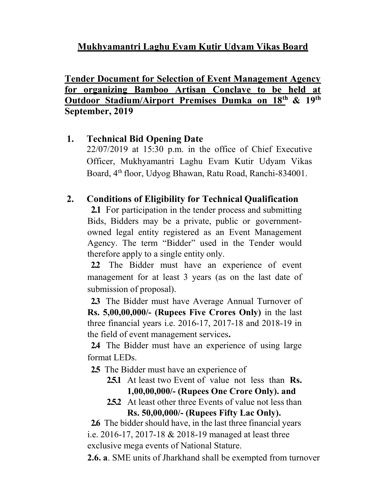## Mukhyamantri Laghu Evam Kutir Udyam Vikas Board

Tender Document for Selection of Event Management Agency for organizing Bamboo Artisan Conclave to be held at Outdoor Stadium/Airport Premises Dumka on 18th & 19th September, 2019

## 1. Technical Bid Opening Date

22/07/2019 at 15:30 p.m. in the office of Chief Executive Officer, Mukhyamantri Laghu Evam Kutir Udyam Vikas Board, 4<sup>th</sup> floor, Udyog Bhawan, Ratu Road, Ranchi-834001.

## 2. Conditions of Eligibility for Technical Qualification

2.1 For participation in the tender process and submitting Bids, Bidders may be a private, public or governmentowned legal entity registered as an Event Management Agency. The term "Bidder" used in the Tender would therefore apply to a single entity only.

2.2 The Bidder must have an experience of event management for at least 3 years (as on the last date of submission of proposal).

2.3 The Bidder must have Average Annual Turnover of Rs. 5,00,00,000/- (Rupees Five Crores Only) in the last three financial years i.e. 2016-17, 2017-18 and 2018-19 in the field of event management services.

2.4 The Bidder must have an experience of using large format LEDs.

2.5 The Bidder must have an experience of

- 2.5.1 At least two Event of value not less than Rs. 1,00,00,000/- (Rupees One Crore Only). and
- 2.5.2 At least other three Events of value not less than Rs. 50,00,000/- (Rupees Fifty Lac Only).

2.6 The bidder should have, in the last three financial years i.e. 2016-17, 2017-18 & 2018-19 managed at least three exclusive mega events of National Stature.

2.6. a. SME units of Jharkhand shall be exempted from turnover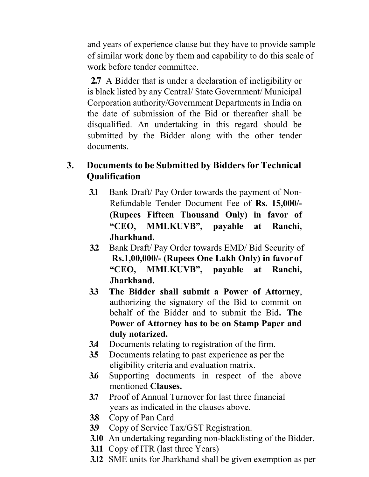and years of experience clause but they have to provide sample of similar work done by them and capability to do this scale of work before tender committee.

2.7 A Bidder that is under a declaration of ineligibility or is black listed by any Central/ State Government/ Municipal Corporation authority/Government Departments in India on the date of submission of the Bid or thereafter shall be disqualified. An undertaking in this regard should be submitted by the Bidder along with the other tender documents.

## 3. Documents to be Submitted by Bidders for Technical Qualification

- 3.1 Bank Draft/ Pay Order towards the payment of Non-Refundable Tender Document Fee of Rs. 15,000/- (Rupees Fifteen Thousand Only) in favor of "CEO, MMLKUVB", payable at Ranchi, Jharkhand.
- 3.2 Bank Draft/ Pay Order towards EMD/ Bid Security of Rs.1,00,000/- (Rupees One Lakh Only) in favor of "CEO, MMLKUVB", payable at Ranchi, Jharkhand.
- 3.3 The Bidder shall submit a Power of Attorney, authorizing the signatory of the Bid to commit on behalf of the Bidder and to submit the Bid. The Power of Attorney has to be on Stamp Paper and duly notarized.
- 3.4 Documents relating to registration of the firm.
- 3.5 Documents relating to past experience as per the eligibility criteria and evaluation matrix.
- 3.6 Supporting documents in respect of the above mentioned Clauses.
- 3.7 Proof of Annual Turnover for last three financial years as indicated in the clauses above.
- 3.8 Copy of Pan Card
- 3.9 Copy of Service Tax/GST Registration.
- 3.10 An undertaking regarding non-blacklisting of the Bidder.
- 3.11 Copy of ITR (last three Years)
- 3.12 SME units for Jharkhand shall be given exemption as per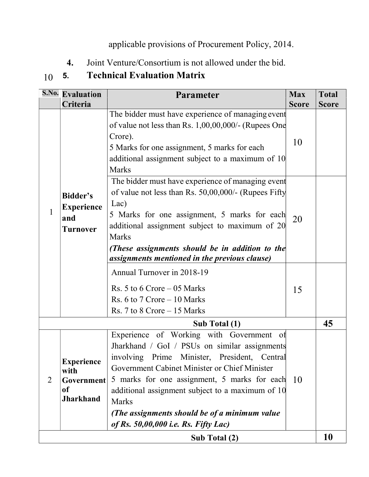applicable provisions of Procurement Policy, 2014.

4. Joint Venture/Consortium is not allowed under the bid.

# 10 5. Technical Evaluation Matrix

|                | <b>S.No. Evaluation</b>                                                                                                                                                                                                                                                                                                                                                                                                                                                                   | <b>Max</b><br>Parameter                                                                                                                                                                                                                                                                                                                 |              | <b>Total</b> |
|----------------|-------------------------------------------------------------------------------------------------------------------------------------------------------------------------------------------------------------------------------------------------------------------------------------------------------------------------------------------------------------------------------------------------------------------------------------------------------------------------------------------|-----------------------------------------------------------------------------------------------------------------------------------------------------------------------------------------------------------------------------------------------------------------------------------------------------------------------------------------|--------------|--------------|
|                | Criteria                                                                                                                                                                                                                                                                                                                                                                                                                                                                                  |                                                                                                                                                                                                                                                                                                                                         | <b>Score</b> | <b>Score</b> |
| 1              | Bidder's<br><b>Experience</b><br>and<br><b>Turnover</b>                                                                                                                                                                                                                                                                                                                                                                                                                                   | The bidder must have experience of managing event<br>of value not less than Rs. 1,00,00,000/- (Rupees One<br>Crore).<br>5 Marks for one assignment, 5 marks for each<br>additional assignment subject to a maximum of 10<br><b>Marks</b>                                                                                                |              |              |
|                |                                                                                                                                                                                                                                                                                                                                                                                                                                                                                           | The bidder must have experience of managing event<br>of value not less than Rs. 50,00,000/- (Rupees Fifty<br>Lac)<br>5 Marks for one assignment, 5 marks for each<br>additional assignment subject to maximum of 20<br><b>Marks</b><br>(These assignments should be in addition to the<br>assignments mentioned in the previous clause) | 20           |              |
|                |                                                                                                                                                                                                                                                                                                                                                                                                                                                                                           | Annual Turnover in 2018-19<br>Rs. 5 to 6 Crore $-05$ Marks<br>Rs. $6$ to $7$ Crore $-10$ Marks<br>$Rs. 7 to 8 Crore - 15 Marks$                                                                                                                                                                                                         | 15           |              |
|                |                                                                                                                                                                                                                                                                                                                                                                                                                                                                                           | Sub Total (1)                                                                                                                                                                                                                                                                                                                           |              | 45           |
| $\overline{2}$ | Experience of Working with Government of<br>Jharkhand / GoI / PSUs on similar assignments<br>involving Prime Minister, President, Central<br><b>Experience</b><br>Government Cabinet Minister or Chief Minister<br>with<br>5 marks for one assignment, 5 marks for each<br>Government<br><sub>of</sub><br>additional assignment subject to a maximum of 10<br><b>Jharkhand</b><br><b>Marks</b><br>(The assignments should be of a minimum value<br>of Rs. $50,00,000$ i.e. Rs. Fifty Lac) |                                                                                                                                                                                                                                                                                                                                         | 10           |              |
| Sub Total (2)  |                                                                                                                                                                                                                                                                                                                                                                                                                                                                                           |                                                                                                                                                                                                                                                                                                                                         |              | <b>10</b>    |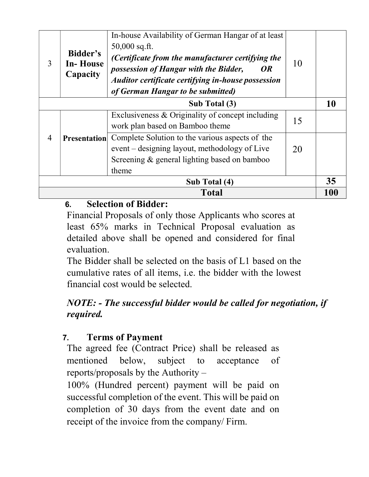| 3              | In-house Availability of German Hangar of at least<br>$50,000$ sq.ft.<br>Bidder's<br>(Certificate from the manufacturer certifying the<br><b>In-House</b><br>possession of Hangar with the Bidder,<br>OR<br>Capacity<br>Auditor certificate certifying in-house possession<br>of German Hangar to be submitted) |                                                                                                                                                           | 10 |    |
|----------------|-----------------------------------------------------------------------------------------------------------------------------------------------------------------------------------------------------------------------------------------------------------------------------------------------------------------|-----------------------------------------------------------------------------------------------------------------------------------------------------------|----|----|
| Sub Total (3)  |                                                                                                                                                                                                                                                                                                                 |                                                                                                                                                           |    | 10 |
|                |                                                                                                                                                                                                                                                                                                                 | Exclusiveness & Originality of concept including<br>work plan based on Bamboo theme                                                                       | 15 |    |
| $\overline{4}$ | <b>Presentation</b>                                                                                                                                                                                                                                                                                             | Complete Solution to the various aspects of the<br>event – designing layout, methodology of Live<br>Screening & general lighting based on bamboo<br>theme | 20 |    |
| Sub Total (4)  |                                                                                                                                                                                                                                                                                                                 |                                                                                                                                                           |    | 35 |
| Total          |                                                                                                                                                                                                                                                                                                                 |                                                                                                                                                           |    |    |

## 6. Selection of Bidder:

Financial Proposals of only those Applicants who scores at least 65% marks in Technical Proposal evaluation as detailed above shall be opened and considered for final evaluation.

The Bidder shall be selected on the basis of L1 based on the cumulative rates of all items, i.e. the bidder with the lowest financial cost would be selected.

## NOTE: - The successful bidder would be called for negotiation, if required.

## 7. Terms of Payment

The agreed fee (Contract Price) shall be released as mentioned below, subject to acceptance of reports/proposals by the Authority –

100% (Hundred percent) payment will be paid on successful completion of the event. This will be paid on completion of 30 days from the event date and on receipt of the invoice from the company/ Firm.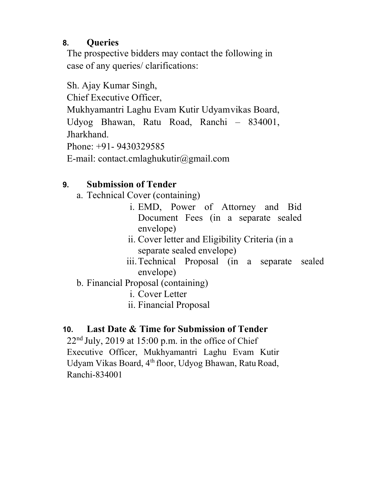## 8. Queries

The prospective bidders may contact the following in case of any queries/ clarifications:

Sh. Ajay Kumar Singh, Chief Executive Officer, Mukhyamantri Laghu Evam Kutir Udyam vikas Board, Udyog Bhawan, Ratu Road, Ranchi – 834001, Jharkhand. Phone: +91- 9430329585

E-mail: contact.cmlaghukutir@gmail.com

## 9. Submission of Tender

- a. Technical Cover (containing)
	- i. EMD, Power of Attorney and Bid Document Fees (in a separate sealed envelope)
	- ii. Cover letter and Eligibility Criteria (in a separate sealed envelope)
	- iii.Technical Proposal (in a separate sealed envelope)
- b. Financial Proposal (containing)
	- i. Cover Letter
	- ii. Financial Proposal

## 10. Last Date & Time for Submission of Tender

 $22<sup>nd</sup>$  July, 2019 at 15:00 p.m. in the office of Chief Executive Officer, Mukhyamantri Laghu Evam Kutir Udyam Vikas Board, 4th floor, Udyog Bhawan, Ratu Road, Ranchi-834001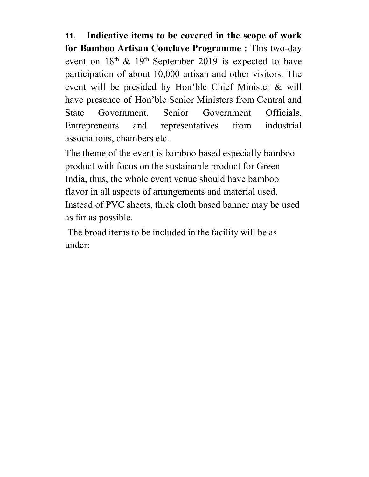11. Indicative items to be covered in the scope of work for Bamboo Artisan Conclave Programme : This two-day event on  $18<sup>th</sup>$  &  $19<sup>th</sup>$  September 2019 is expected to have participation of about 10,000 artisan and other visitors. The event will be presided by Hon'ble Chief Minister & will have presence of Hon'ble Senior Ministers from Central and State Government, Senior Government Officials, Entrepreneurs and representatives from industrial associations, chambers etc.

The theme of the event is bamboo based especially bamboo product with focus on the sustainable product for Green India, thus, the whole event venue should have bamboo flavor in all aspects of arrangements and material used. Instead of PVC sheets, thick cloth based banner may be used as far as possible.

 The broad items to be included in the facility will be as under: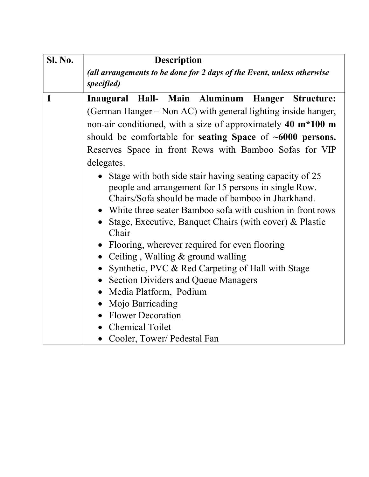| <b>Sl. No.</b> | <b>Description</b>                                                                                                                                                                                                                                                                                                                                                                                                                                                                                                                                                                                                                                                                                                                                                                                                                                                                                                                                                                           |  |  |  |
|----------------|----------------------------------------------------------------------------------------------------------------------------------------------------------------------------------------------------------------------------------------------------------------------------------------------------------------------------------------------------------------------------------------------------------------------------------------------------------------------------------------------------------------------------------------------------------------------------------------------------------------------------------------------------------------------------------------------------------------------------------------------------------------------------------------------------------------------------------------------------------------------------------------------------------------------------------------------------------------------------------------------|--|--|--|
|                | (all arrangements to be done for 2 days of the Event, unless otherwise<br>specified)                                                                                                                                                                                                                                                                                                                                                                                                                                                                                                                                                                                                                                                                                                                                                                                                                                                                                                         |  |  |  |
| 1              | Inaugural Hall- Main Aluminum Hanger Structure:<br>(German Hanger – Non AC) with general lighting inside hanger,<br>non-air conditioned, with a size of approximately 40 m*100 m<br>should be comfortable for seating Space of $~1000$ persons.<br>Reserves Space in front Rows with Bamboo Sofas for VIP<br>delegates.<br>Stage with both side stair having seating capacity of 25<br>people and arrangement for 15 persons in single Row.<br>Chairs/Sofa should be made of bamboo in Jharkhand.<br>• White three seater Bamboo sofa with cushion in front rows<br>Stage, Executive, Banquet Chairs (with cover) & Plastic<br>Chair<br>• Flooring, wherever required for even flooring<br>Ceiling, Walling $\&$ ground walling<br>• Synthetic, PVC & Red Carpeting of Hall with Stage<br><b>Section Dividers and Queue Managers</b><br>$\bullet$<br>Media Platform, Podium<br>$\bullet$<br>Mojo Barricading<br>$\bullet$<br><b>Flower Decoration</b><br>$\bullet$<br><b>Chemical Toilet</b> |  |  |  |
|                | • Cooler, Tower/ Pedestal Fan                                                                                                                                                                                                                                                                                                                                                                                                                                                                                                                                                                                                                                                                                                                                                                                                                                                                                                                                                                |  |  |  |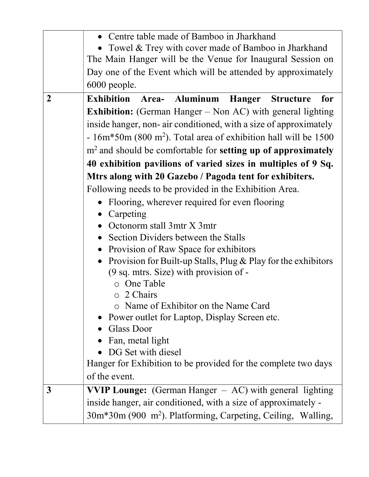|                | • Centre table made of Bamboo in Jharkhand                                           |  |  |  |
|----------------|--------------------------------------------------------------------------------------|--|--|--|
|                | Towel & Trey with cover made of Bamboo in Jharkhand                                  |  |  |  |
|                | The Main Hanger will be the Venue for Inaugural Session on                           |  |  |  |
|                | Day one of the Event which will be attended by approximately                         |  |  |  |
|                | $6000$ people.                                                                       |  |  |  |
| $\overline{2}$ | <b>Exhibition</b> Area-<br><b>Aluminum Hanger Structure</b><br>for                   |  |  |  |
|                | <b>Exhibition:</b> (German Hanger $-$ Non AC) with general lighting                  |  |  |  |
|                | inside hanger, non- air conditioned, with a size of approximately                    |  |  |  |
|                | $-16m*50m (800 m2)$ . Total area of exhibition hall will be 1500                     |  |  |  |
|                | $m2$ and should be comfortable for setting up of approximately                       |  |  |  |
|                | 40 exhibition pavilions of varied sizes in multiples of 9 Sq.                        |  |  |  |
|                | Mtrs along with 20 Gazebo / Pagoda tent for exhibiters.                              |  |  |  |
|                | Following needs to be provided in the Exhibition Area.                               |  |  |  |
|                | Flooring, wherever required for even flooring                                        |  |  |  |
|                | Carpeting                                                                            |  |  |  |
|                | Octonorm stall 3mtr X 3mtr                                                           |  |  |  |
|                | Section Dividers between the Stalls                                                  |  |  |  |
|                | Provision of Raw Space for exhibitors                                                |  |  |  |
|                | • Provision for Built-up Stalls, Plug & Play for the exhibitors                      |  |  |  |
|                | $(9 \text{ sq. mtrs. Size})$ with provision of -                                     |  |  |  |
|                | One Table                                                                            |  |  |  |
|                | $\circ$ 2 Chairs                                                                     |  |  |  |
|                | o Name of Exhibitor on the Name Card                                                 |  |  |  |
|                | • Power outlet for Laptop, Display Screen etc.                                       |  |  |  |
|                | <b>Glass Door</b>                                                                    |  |  |  |
|                | Fan, metal light                                                                     |  |  |  |
|                | DG Set with diesel<br>Hanger for Exhibition to be provided for the complete two days |  |  |  |
|                | of the event.                                                                        |  |  |  |
| 3              | <b>VVIP Lounge:</b> (German Hanger $- AC$ ) with general lighting                    |  |  |  |
|                |                                                                                      |  |  |  |
|                | inside hanger, air conditioned, with a size of approximately -                       |  |  |  |
|                | 30m*30m (900 m <sup>2</sup> ). Platforming, Carpeting, Ceiling, Walling,             |  |  |  |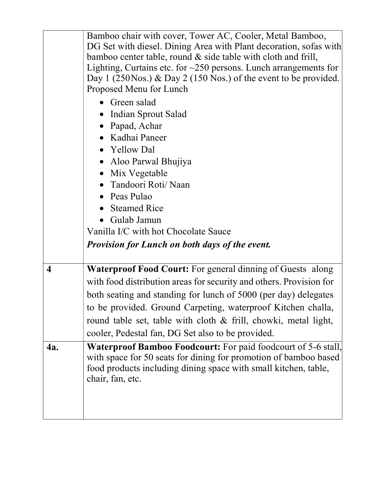|                         | Bamboo chair with cover, Tower AC, Cooler, Metal Bamboo,<br>DG Set with diesel. Dining Area with Plant decoration, sofas with<br>bamboo center table, round $\&$ side table with cloth and frill,<br>Lighting, Curtains etc. for $\sim$ 250 persons. Lunch arrangements for<br>Day 1 (250 Nos.) & Day 2 (150 Nos.) of the event to be provided.<br>Proposed Menu for Lunch<br>• Green salad<br>• Indian Sprout Salad<br>Papad, Achar<br>• Kadhai Paneer<br>• Yellow Dal<br>• Aloo Parwal Bhujiya<br>Mix Vegetable<br>Tandoori Roti/Naan<br>• Peas Pulao<br>• Steamed Rice<br>Gulab Jamun<br>Vanilla I/C with hot Chocolate Sauce<br><b>Provision for Lunch on both days of the event.</b> |  |  |
|-------------------------|-------------------------------------------------------------------------------------------------------------------------------------------------------------------------------------------------------------------------------------------------------------------------------------------------------------------------------------------------------------------------------------------------------------------------------------------------------------------------------------------------------------------------------------------------------------------------------------------------------------------------------------------------------------------------------------------|--|--|
| $\overline{\mathbf{4}}$ | <b>Waterproof Food Court:</b> For general dinning of Guests along                                                                                                                                                                                                                                                                                                                                                                                                                                                                                                                                                                                                                         |  |  |
|                         | with food distribution areas for security and others. Provision for                                                                                                                                                                                                                                                                                                                                                                                                                                                                                                                                                                                                                       |  |  |
|                         | both seating and standing for lunch of 5000 (per day) delegates                                                                                                                                                                                                                                                                                                                                                                                                                                                                                                                                                                                                                           |  |  |
|                         | to be provided. Ground Carpeting, waterproof Kitchen challa,                                                                                                                                                                                                                                                                                                                                                                                                                                                                                                                                                                                                                              |  |  |
|                         | round table set, table with cloth & frill, chowki, metal light,                                                                                                                                                                                                                                                                                                                                                                                                                                                                                                                                                                                                                           |  |  |
|                         | cooler, Pedestal fan, DG Set also to be provided.                                                                                                                                                                                                                                                                                                                                                                                                                                                                                                                                                                                                                                         |  |  |
| 4a.                     | <b>Waterproof Bamboo Foodcourt:</b> For paid foodcourt of 5-6 stall,<br>with space for 50 seats for dining for promotion of bamboo based<br>food products including dining space with small kitchen, table,<br>chair, fan, etc.                                                                                                                                                                                                                                                                                                                                                                                                                                                           |  |  |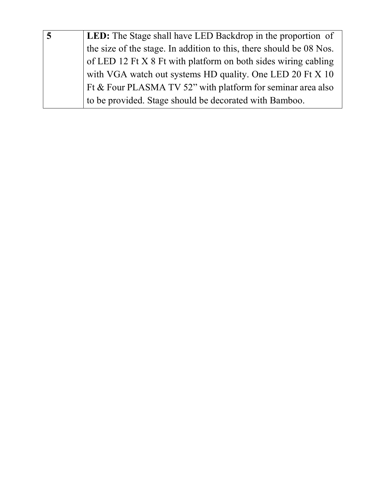| <b>LED:</b> The Stage shall have LED Backdrop in the proportion of  |  |  |
|---------------------------------------------------------------------|--|--|
| the size of the stage. In addition to this, there should be 08 Nos. |  |  |
| of LED 12 Ft X 8 Ft with platform on both sides wiring cabling      |  |  |
| with VGA watch out systems HD quality. One LED 20 Ft X 10           |  |  |
| Ft & Four PLASMA TV 52" with platform for seminar area also         |  |  |
| to be provided. Stage should be decorated with Bamboo.              |  |  |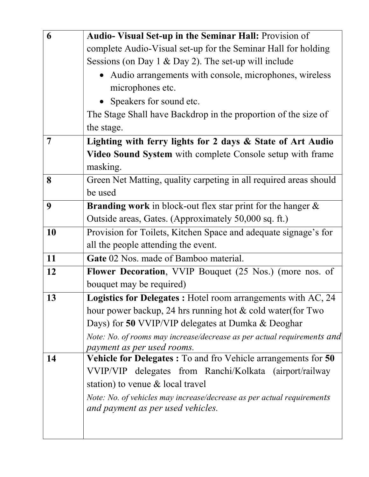| 6         | Audio- Visual Set-up in the Seminar Hall: Provision of                                                      |
|-----------|-------------------------------------------------------------------------------------------------------------|
|           | complete Audio-Visual set-up for the Seminar Hall for holding                                               |
|           | Sessions (on Day 1 $\&$ Day 2). The set-up will include                                                     |
|           | • Audio arrangements with console, microphones, wireless                                                    |
|           | microphones etc.                                                                                            |
|           | • Speakers for sound etc.                                                                                   |
|           | The Stage Shall have Backdrop in the proportion of the size of                                              |
|           | the stage.                                                                                                  |
| 7         | Lighting with ferry lights for 2 days & State of Art Audio                                                  |
|           | Video Sound System with complete Console setup with frame                                                   |
|           | masking.                                                                                                    |
| 8         | Green Net Matting, quality carpeting in all required areas should                                           |
|           | be used                                                                                                     |
| 9         | <b>Branding work</b> in block-out flex star print for the hanger $\&$                                       |
|           | Outside areas, Gates. (Approximately 50,000 sq. ft.)                                                        |
| <b>10</b> | Provision for Toilets, Kitchen Space and adequate signage's for                                             |
|           | all the people attending the event.                                                                         |
| 11        | Gate 02 Nos. made of Bamboo material.                                                                       |
| 12        | Flower Decoration, VVIP Bouquet (25 Nos.) (more nos. of                                                     |
|           | bouquet may be required)                                                                                    |
| 13        | <b>Logistics for Delegates:</b> Hotel room arrangements with AC, 24                                         |
|           | hour power backup, 24 hrs running hot $&$ cold water (for Two                                               |
|           | Days) for 50 VVIP/VIP delegates at Dumka & Deoghar                                                          |
|           | Note: No. of rooms may increase/decrease as per actual requirements and                                     |
|           | payment as per used rooms.                                                                                  |
| 14        | Vehicle for Delegates : To and fro Vehicle arrangements for 50                                              |
|           | VVIP/VIP delegates from Ranchi/Kolkata (airport/railway                                                     |
|           | station) to venue & local travel                                                                            |
|           | Note: No. of vehicles may increase/decrease as per actual requirements<br>and payment as per used vehicles. |
|           |                                                                                                             |
|           |                                                                                                             |
|           |                                                                                                             |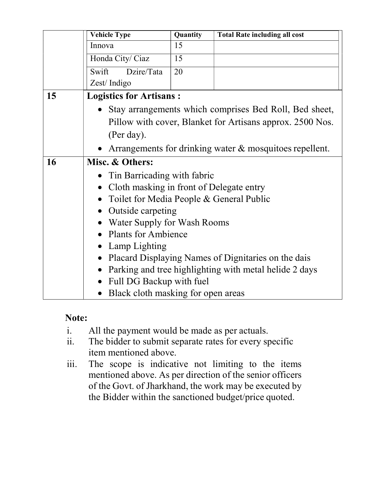|    | <b>Vehicle Type</b>                                       | Quantity | <b>Total Rate including all cost</b> |
|----|-----------------------------------------------------------|----------|--------------------------------------|
|    | Innova                                                    | 15       |                                      |
|    | Honda City/ Ciaz                                          | 15       |                                      |
|    | Dzire/Tata<br>Swift                                       | 20       |                                      |
|    | Zest/Indigo                                               |          |                                      |
| 15 | <b>Logistics for Artisans:</b>                            |          |                                      |
|    | Stay arrangements which comprises Bed Roll, Bed sheet,    |          |                                      |
|    | Pillow with cover, Blanket for Artisans approx. 2500 Nos. |          |                                      |
|    | (Per day).                                                |          |                                      |
|    | Arrangements for drinking water & mosquitoes repellent.   |          |                                      |
| 16 | Misc. & Others:                                           |          |                                      |
|    | Tin Barricading with fabric                               |          |                                      |
|    | Cloth masking in front of Delegate entry                  |          |                                      |
|    | Toilet for Media People & General Public                  |          |                                      |
|    | Outside carpeting                                         |          |                                      |
|    | Water Supply for Wash Rooms                               |          |                                      |
|    | <b>Plants for Ambience</b>                                |          |                                      |
|    | Lamp Lighting                                             |          |                                      |
|    | Placard Displaying Names of Dignitaries on the dais       |          |                                      |
|    | Parking and tree highlighting with metal helide 2 days    |          |                                      |
|    | Full DG Backup with fuel                                  |          |                                      |
|    | Black cloth masking for open areas                        |          |                                      |

## Note:

- i. All the payment would be made as per actuals.
- ii. The bidder to submit separate rates for every specific item mentioned above.
- iii. The scope is indicative not limiting to the items mentioned above. As per direction of the senior officers of the Govt. of Jharkhand, the work may be executed by the Bidder within the sanctioned budget/price quoted.